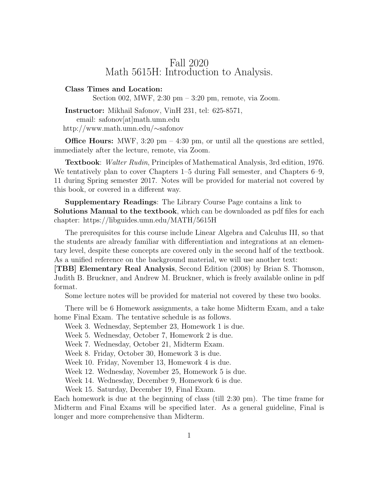## Fall 2020 Math 5615H: Introduction to Analysis.

## Class Times and Location:

Section 002, MWF, 2:30 pm – 3:20 pm, remote, via Zoom.

Instructor: Mikhail Safonov, VinH 231, tel: 625-8571,

email: safonov[at]math.umn.edu

http://www.math.umn.edu/∼safonov

**Office Hours:** MWF, 3:20 pm  $-$  4:30 pm, or until all the questions are settled, immediately after the lecture, remote, via Zoom.

Textbook: Walter Rudin, Principles of Mathematical Analysis, 3rd edition, 1976. We tentatively plan to cover Chapters 1–5 during Fall semester, and Chapters 6–9, 11 during Spring semester 2017. Notes will be provided for material not covered by this book, or covered in a different way.

Supplementary Readings: The Library Course Page contains a link to Solutions Manual to the textbook, which can be downloaded as pdf files for each chapter: https://libguides.umn.edu/MATH/5615H

The prerequisites for this course include Linear Algebra and Calculus III, so that the students are already familiar with differentiation and integrations at an elementary level, despite these concepts are covered only in the second half of the textbook. As a unified reference on the background material, we will use another text:

[TBB] Elementary Real Analysis, Second Edition (2008) by Brian S. Thomson, Judith B. Bruckner, and Andrew M. Bruckner, which is freely available online in pdf format.

Some lecture notes will be provided for material not covered by these two books.

There will be 6 Homework assignments, a take home Midterm Exam, and a take home Final Exam. The tentative schedule is as follows.

Week 3. Wednesday, September 23, Homework 1 is due.

Week 5. Wednesday, October 7, Homework 2 is due.

Week 7. Wednesday, October 21, Midterm Exam.

Week 8. Friday, October 30, Homework 3 is due.

Week 10. Friday, November 13, Homework 4 is due.

Week 12. Wednesday, November 25, Homework 5 is due.

Week 14. Wednesday, December 9, Homework 6 is due.

Week 15. Saturday, December 19, Final Exam.

Each homework is due at the beginning of class (till 2:30 pm). The time frame for Midterm and Final Exams will be specified later. As a general guideline, Final is longer and more comprehensive than Midterm.